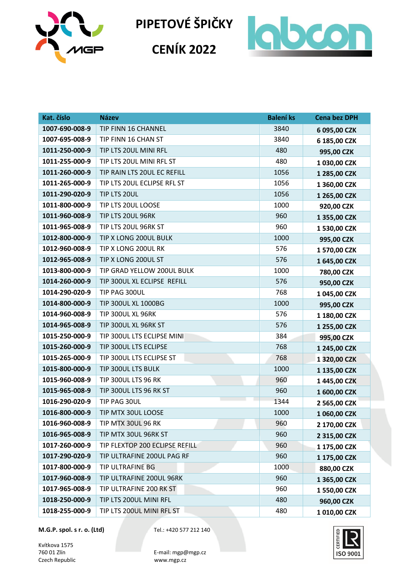

**CENÍK 2022**



| Kat. číslo     | <b>Název</b>                   | <b>Balení ks</b> | <b>Cena bez DPH</b> |
|----------------|--------------------------------|------------------|---------------------|
| 1007-690-008-9 | TIP FINN 16 CHANNEL            | 3840             | 6 095,00 CZK        |
| 1007-695-008-9 | TIP FINN 16 CHAN ST            | 3840             | 6 185,00 CZK        |
| 1011-250-000-9 | TIP LTS 20UL MINI RFL          | 480              | 995,00 CZK          |
| 1011-255-000-9 | TIP LTS 20UL MINI RFL ST       | 480              | 1 030,00 CZK        |
| 1011-260-000-9 | TIP RAIN LTS 20UL EC REFILL    | 1056             | 1 285,00 CZK        |
| 1011-265-000-9 | TIP LTS 20UL ECLIPSE RFL ST    | 1056             | 1 360,00 CZK        |
| 1011-290-020-9 | TIP LTS 20UL                   | 1056             | 1 265,00 CZK        |
| 1011-800-000-9 | TIP LTS 20UL LOOSE             | 1000             | 920,00 CZK          |
| 1011-960-008-9 | TIP LTS 20UL 96RK              | 960              | 1 355,00 CZK        |
| 1011-965-008-9 | TIP LTS 20UL 96RK ST           | 960              | 1 530,00 CZK        |
| 1012-800-000-9 | TIP X LONG 200UL BULK          | 1000             | 995,00 CZK          |
| 1012-960-008-9 | TIP X LONG 200UL RK            | 576              | 1 570,00 CZK        |
| 1012-965-008-9 | TIP X LONG 200UL ST            | 576              | 1 645,00 CZK        |
| 1013-800-000-9 | TIP GRAD YELLOW 200UL BULK     | 1000             | 780,00 CZK          |
| 1014-260-000-9 | TIP 300UL XL ECLIPSE REFILL    | 576              | 950,00 CZK          |
| 1014-290-020-9 | TIP PAG 300UL                  | 768              | 1 045,00 CZK        |
| 1014-800-000-9 | TIP 300UL XL 1000BG            | 1000             | 995,00 CZK          |
| 1014-960-008-9 | TIP 300UL XL 96RK              | 576              | 1 180,00 CZK        |
| 1014-965-008-9 | TIP 300UL XL 96RK ST           | 576              | 1 255,00 CZK        |
| 1015-250-000-9 | TIP 300UL LTS ECLIPSE MINI     | 384              | 995,00 CZK          |
| 1015-260-000-9 | TIP 300UL LTS ECLIPSE          | 768              | 1 245,00 CZK        |
| 1015-265-000-9 | TIP 300UL LTS ECLIPSE ST       | 768              | 1 320,00 CZK        |
| 1015-800-000-9 | TIP 300UL LTS BULK             | 1000             | 1 135,00 CZK        |
| 1015-960-008-9 | TIP 300UL LTS 96 RK            | 960              | 1 445,00 CZK        |
| 1015-965-008-9 | TIP 300UL LTS 96 RK ST         | 960              | 1 600,00 CZK        |
| 1016-290-020-9 | TIP PAG 30UL                   | 1344             | 2 565,00 CZK        |
| 1016-800-000-9 | TIP MTX 30UL LOOSE             | 1000             | 1 060,00 CZK        |
| 1016-960-008-9 | TIP MTX 30UL 96 RK             | 960              | 2 170,00 CZK        |
| 1016-965-008-9 | TIP MTX 30UL 96RK ST           | 960              | 2 315,00 CZK        |
| 1017-260-000-9 | TIP FLEXTOP 200 ECLIPSE REFILL | 960              | 1 175,00 CZK        |
| 1017-290-020-9 | TIP ULTRAFINE 200UL PAG RF     | 960              | 1 175,00 CZK        |
| 1017-800-000-9 | TIP ULTRAFINE BG               | 1000             | 880,00 CZK          |
| 1017-960-008-9 | TIP ULTRAFINE 200UL 96RK       | 960              | 1 365,00 CZK        |
| 1017-965-008-9 | TIP ULTRAFINE 200 RK ST        | 960              | 1 550,00 CZK        |
| 1018-250-000-9 | TIP LTS 200UL MINI RFL         | 480              | 960,00 CZK          |
| 1018-255-000-9 | TIP LTS 200UL MINI RFL ST      | 480              | 1010,00 CZK         |

**M.G.P. spol. s r. o. (Ltd)** Tel.: +420 577 212 140

Kvítkova 1575<br>760 01 Zlín Czech Republic

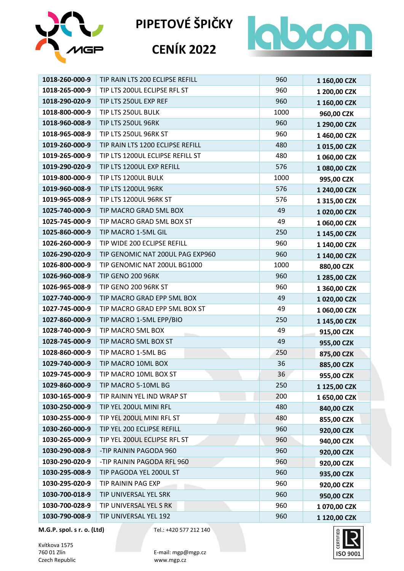



### **CENÍK 2022**



| 1018-260-000-9 | TIP RAIN LTS 200 ECLIPSE REFILL  | 960  | 1 160,00 CZK |
|----------------|----------------------------------|------|--------------|
| 1018-265-000-9 | TIP LTS 200UL ECLIPSE RFL ST     | 960  | 1 200,00 CZK |
| 1018-290-020-9 | TIP LTS 250UL EXP REF            | 960  | 1 160,00 CZK |
| 1018-800-000-9 | TIP LTS 250UL BULK               | 1000 | 960,00 CZK   |
| 1018-960-008-9 | TIP LTS 250UL 96RK               | 960  | 1 290,00 CZK |
| 1018-965-008-9 | TIP LTS 250UL 96RK ST            | 960  | 1 460,00 CZK |
| 1019-260-000-9 | TIP RAIN LTS 1200 ECLIPSE REFILL | 480  | 1015,00 CZK  |
| 1019-265-000-9 | TIP LTS 1200UL ECLIPSE REFILL ST | 480  | 1 060,00 CZK |
| 1019-290-020-9 | TIP LTS 1200UL EXP REFILL        | 576  | 1 080,00 CZK |
| 1019-800-000-9 | TIP LTS 1200UL BULK              | 1000 | 995,00 CZK   |
| 1019-960-008-9 | TIP LTS 1200UL 96RK              | 576  | 1 240,00 CZK |
| 1019-965-008-9 | TIP LTS 1200UL 96RK ST           | 576  | 1 315,00 CZK |
| 1025-740-000-9 | TIP MACRO GRAD 5ML BOX           | 49   | 1 020,00 CZK |
| 1025-745-000-9 | TIP MACRO GRAD 5ML BOX ST        | 49   | 1 060,00 CZK |
| 1025-860-000-9 | TIP MACRO 1-5ML GIL              | 250  | 1 145,00 CZK |
| 1026-260-000-9 | TIP WIDE 200 ECLIPSE REFILL      | 960  | 1 140,00 CZK |
| 1026-290-020-9 | TIP GENOMIC NAT 200UL PAG EXP960 | 960  | 1 140,00 CZK |
| 1026-800-000-9 | TIP GENOMIC NAT 200UL BG1000     | 1000 | 880,00 CZK   |
| 1026-960-008-9 | <b>TIP GENO 200 96RK</b>         | 960  | 1 285,00 CZK |
| 1026-965-008-9 | TIP GENO 200 96RK ST             | 960  | 1 360,00 CZK |
| 1027-740-000-9 | TIP MACRO GRAD EPP 5ML BOX       | 49   | 1 020,00 CZK |
| 1027-745-000-9 | TIP MACRO GRAD EPP 5ML BOX ST    | 49   | 1 060,00 CZK |
| 1027-860-000-9 | TIP MACRO 1-5ML EPP/BIO          | 250  | 1 145,00 CZK |
| 1028-740-000-9 | TIP MACRO 5ML BOX                | 49   | 915,00 CZK   |
| 1028-745-000-9 | TIP MACRO 5ML BOX ST             | 49   | 955,00 CZK   |
| 1028-860-000-9 | TIP MACRO 1-5ML BG               | 250  | 875,00 CZK   |
| 1029-740-000-9 | TIP MACRO 10ML BOX               | 36   | 885,00 CZK   |
| 1029-745-000-9 | TIP MACRO 10ML BOX ST            | 36   | 955,00 CZK   |
| 1029-860-000-9 | TIP MACRO 5-10ML BG              | 250  | 1 125,00 CZK |
| 1030-165-000-9 | TIP RAININ YEL IND WRAP ST       | 200  | 1 650,00 CZK |
| 1030-250-000-9 | TIP YEL 200UL MINI RFL           | 480  | 840,00 CZK   |
| 1030-255-000-9 | TIP YEL 200UL MINI RFL ST        | 480  | 855,00 CZK   |
| 1030-260-000-9 | TIP YEL 200 ECLIPSE REFILL       | 960  | 920,00 CZK   |
| 1030-265-000-9 | TIP YEL 200UL ECLIPSE RFL ST     | 960  | 940,00 CZK   |
| 1030-290-008-9 | -TIP RAININ PAGODA 960           | 960  | 920,00 CZK   |
| 1030-290-020-9 | -TIP RAININ PAGODA RFL 960       | 960  | 920,00 CZK   |
| 1030-295-008-9 | TIP PAGODA YEL 200UL ST          | 960  | 935,00 CZK   |
| 1030-295-020-9 | TIP RAININ PAG EXP               | 960  | 920,00 CZK   |
| 1030-700-018-9 | TIP UNIVERSAL YEL SRK            | 960  | 950,00 CZK   |
| 1030-700-028-9 | TIP UNIVERSAL YEL S RK           | 960  | 1070,00 CZK  |
| 1030-790-008-9 | TIP UNIVERSAL YEL 192            | 960  | 1 120,00 CZK |

**M.G.P. spol. s r. o. (Ltd)** Tel.: +420 577 212 140

Kvítkova 1575<br>760 01 Zlín Czech Republic

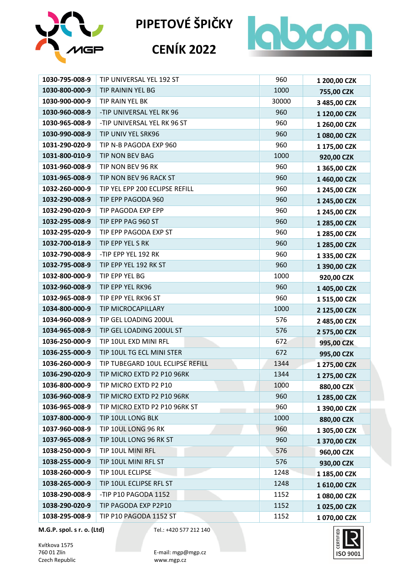

## **CENÍK 2022**



| 1030-795-008-9 | TIP UNIVERSAL YEL 192 ST         | 960   | 1 200,00 CZK |
|----------------|----------------------------------|-------|--------------|
| 1030-800-000-9 | TIP RAININ YEL BG                | 1000  | 755,00 CZK   |
| 1030-900-000-9 | TIP RAIN YEL BK                  | 30000 | 3 485,00 CZK |
| 1030-960-008-9 | -TIP UNIVERSAL YEL RK 96         | 960   | 1 120,00 CZK |
| 1030-965-008-9 | -TIP UNIVERSAL YEL RK 96 ST      | 960   | 1 260,00 CZK |
| 1030-990-008-9 | TIP UNIV YEL SRK96               | 960   | 1 080,00 CZK |
| 1031-290-020-9 | TIP N-B PAGODA EXP 960           | 960   | 1 175,00 CZK |
| 1031-800-010-9 | TIP NON BEV BAG                  | 1000  | 920,00 CZK   |
| 1031-960-008-9 | TIP NON BEV 96 RK                | 960   | 1 365,00 CZK |
| 1031-965-008-9 | TIP NON BEV 96 RACK ST           | 960   | 1 460,00 CZK |
| 1032-260-000-9 | TIP YEL EPP 200 ECLIPSE REFILL   | 960   | 1 245,00 CZK |
| 1032-290-008-9 | TIP EPP PAGODA 960               | 960   | 1 245,00 CZK |
| 1032-290-020-9 | TIP PAGODA EXP EPP               | 960   | 1 245,00 CZK |
| 1032-295-008-9 | TIP EPP PAG 960 ST               | 960   | 1 285,00 CZK |
| 1032-295-020-9 | TIP EPP PAGODA EXP ST            | 960   | 1 285,00 CZK |
| 1032-700-018-9 | TIP EPP YEL S RK                 | 960   | 1 285,00 CZK |
| 1032-790-008-9 | -TIP EPP YEL 192 RK              | 960   | 1 335,00 CZK |
| 1032-795-008-9 | TIP EPP YEL 192 RK ST            | 960   | 1 390,00 CZK |
| 1032-800-000-9 | TIP EPP YEL BG                   | 1000  | 920,00 CZK   |
| 1032-960-008-9 | TIP EPP YEL RK96                 | 960   | 1 405,00 CZK |
| 1032-965-008-9 | TIP EPP YEL RK96 ST              | 960   | 1 515,00 CZK |
| 1034-800-000-9 | TIP MICROCAPILLARY               | 1000  | 2 125,00 CZK |
| 1034-960-008-9 | TIP GEL LOADING 200UL            | 576   | 2 485,00 CZK |
| 1034-965-008-9 | TIP GEL LOADING 200UL ST         | 576   | 2 575,00 CZK |
| 1036-250-000-9 | TIP 10UL EXD MINI RFL            | 672   | 995,00 CZK   |
| 1036-255-000-9 | TIP 10UL TG ECL MINI STER        | 672   | 995,00 CZK   |
| 1036-260-000-9 | TIP TUBEGARD 10UL ECLIPSE REFILL | 1344  | 1 275,00 CZK |
| 1036-290-020-9 | TIP MICRO EXTD P2 P10 96RK       | 1344  | 1 275,00 CZK |
| 1036-800-000-9 | TIP MICRO EXTD P2 P10            | 1000  | 880,00 CZK   |
| 1036-960-008-9 | TIP MICRO EXTD P2 P10 96RK       | 960   | 1 285,00 CZK |
| 1036-965-008-9 | TIP MICRO EXTD P2 P10 96RK ST    | 960   | 1 390,00 CZK |
| 1037-800-000-9 | TIP 10UL LONG BLK                | 1000  | 880,00 CZK   |
| 1037-960-008-9 | TIP 10UL LONG 96 RK              | 960   | 1 305,00 CZK |
| 1037-965-008-9 | TIP 10UL LONG 96 RK ST           | 960   | 1 370,00 CZK |
| 1038-250-000-9 | TIP 10UL MINI RFL                | 576   | 960,00 CZK   |
| 1038-255-000-9 | TIP 10UL MINI RFL ST             | 576   | 930,00 CZK   |
| 1038-260-000-9 | TIP 10UL ECLIPSE                 | 1248  | 1 185,00 CZK |
| 1038-265-000-9 | TIP 10UL ECLIPSE RFL ST          | 1248  | 1 610,00 CZK |
| 1038-290-008-9 | -TIP P10 PAGODA 1152             | 1152  | 1 080,00 CZK |
| 1038-290-020-9 | TIP PAGODA EXP P2P10             | 1152  | 1 025,00 CZK |
| 1038-295-008-9 | TIP P10 PAGODA 1152 ST           | 1152  | 1 070,00 CZK |

**M.G.P. spol. s r. o. (Ltd)** Tel.: +420 577 212 140

Kvítkova 1575<br>760 01 Zlín Czech Republic

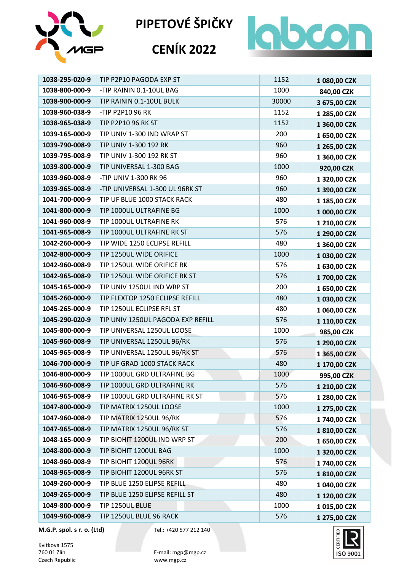







**M.G.P. spol. s r. o. (Ltd)** Tel.: +420 577 212 140

Kvítkova 1575 Czech Republic www.mgp.cz



760 01 Zlín E-mail: mgp@mgp.cz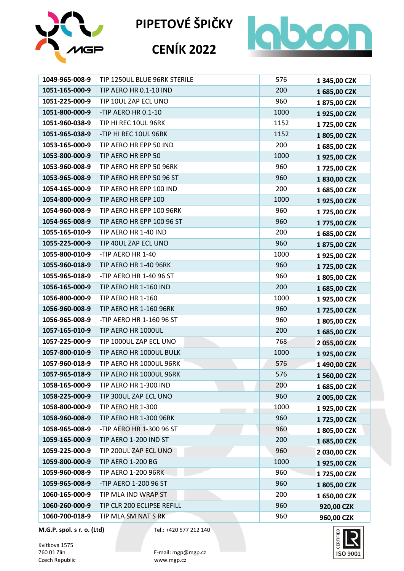

## **CENÍK 2022**



| 1049-965-008-9 | TIP 1250UL BLUE 96RK STERILE  | 576  | 1 345,00 CZK |
|----------------|-------------------------------|------|--------------|
| 1051-165-000-9 | TIP AERO HR 0.1-10 IND        | 200  | 1685,00 CZK  |
| 1051-225-000-9 | TIP 10UL ZAP ECL UNO          | 960  | 1875,00 CZK  |
| 1051-800-000-9 | -TIP AERO HR 0.1-10           | 1000 | 1925,00 CZK  |
| 1051-960-038-9 | TIP HI REC 10UL 96RK          | 1152 | 1725,00 CZK  |
| 1051-965-038-9 | -TIP HI REC 10UL 96RK         | 1152 | 1805,00 CZK  |
| 1053-165-000-9 | TIP AERO HR EPP 50 IND        | 200  | 1685,00 CZK  |
| 1053-800-000-9 | TIP AERO HR EPP 50            | 1000 | 1925,00 CZK  |
| 1053-960-008-9 | TIP AERO HR EPP 50 96RK       | 960  | 1725,00 CZK  |
| 1053-965-008-9 | TIP AERO HR EPP 50 96 ST      | 960  | 1830,00 CZK  |
| 1054-165-000-9 | TIP AERO HR EPP 100 IND       | 200  | 1685,00 CZK  |
| 1054-800-000-9 | TIP AERO HR EPP 100           | 1000 | 1925,00 CZK  |
| 1054-960-008-9 | TIP AERO HR EPP 100 96RK      | 960  | 1725,00 CZK  |
| 1054-965-008-9 | TIP AERO HR EPP 100 96 ST     | 960  | 1775,00 CZK  |
| 1055-165-010-9 | TIP AERO HR 1-40 IND          | 200  | 1685,00 CZK  |
| 1055-225-000-9 | TIP 40UL ZAP ECL UNO          | 960  | 1875,00 CZK  |
| 1055-800-010-9 | -TIP AERO HR 1-40             | 1000 | 1925,00 CZK  |
| 1055-960-018-9 | TIP AERO HR 1-40 96RK         | 960  | 1725,00 CZK  |
| 1055-965-018-9 | -TIP AERO HR 1-40 96 ST       | 960  | 1805,00 CZK  |
| 1056-165-000-9 | TIP AERO HR 1-160 IND         | 200  | 1685,00 CZK  |
| 1056-800-000-9 | TIP AERO HR 1-160             | 1000 | 1925,00 CZK  |
| 1056-960-008-9 | <b>TIP AERO HR 1-160 96RK</b> | 960  | 1725,00 CZK  |
| 1056-965-008-9 | -TIP AERO HR 1-160 96 ST      | 960  | 1805,00 CZK  |
| 1057-165-010-9 | TIP AERO HR 1000UL            | 200  | 1685,00 CZK  |
| 1057-225-000-9 | TIP 1000UL ZAP ECL UNO        | 768  | 2 055,00 CZK |
| 1057-800-010-9 | TIP AERO HR 1000UL BULK       | 1000 | 1925,00 CZK  |
| 1057-960-018-9 | TIP AERO HR 1000UL 96RK       | 576  | 1 490,00 CZK |
| 1057-965-018-9 | TIP AERO HR 1000UL 96RK       | 576  | 1 560,00 CZK |
| 1058-165-000-9 | TIP AERO HR 1-300 IND         | 200  | 1 685,00 CZK |
| 1058-225-000-9 | TIP 300UL ZAP ECL UNO         | 960  | 2 005,00 CZK |
| 1058-800-000-9 | TIP AERO HR 1-300             | 1000 | 1925,00 CZK  |
| 1058-960-008-9 | <b>TIP AERO HR 1-300 96RK</b> | 960  | 1725,00 CZK  |
| 1058-965-008-9 | -TIP AERO HR 1-300 96 ST      | 960  | 1805,00 CZK  |
| 1059-165-000-9 | TIP AERO 1-200 IND ST         | 200  | 1685,00 CZK  |
| 1059-225-000-9 | TIP 200UL ZAP ECL UNO         | 960  | 2 030,00 CZK |
| 1059-800-000-9 | <b>TIP AERO 1-200 BG</b>      | 1000 | 1925,00 CZK  |
| 1059-960-008-9 | <b>TIP AERO 1-200 96RK</b>    | 960  | 1725,00 CZK  |
| 1059-965-008-9 | -TIP AERO 1-200 96 ST         | 960  | 1805,00 CZK  |
| 1060-165-000-9 | TIP MLA IND WRAP ST           | 200  | 1 650,00 CZK |
| 1060-260-000-9 | TIP CLR 200 ECLIPSE REFILL    | 960  | 920,00 CZK   |
| 1060-700-018-9 | TIP MLA SM NAT S RK           | 960  | 960,00 CZK   |

**M.G.P. spol. s r. o. (Ltd)** Tel.: +420 577 212 140

Kvítkova 1575<br>760 01 Zlín Czech Republic

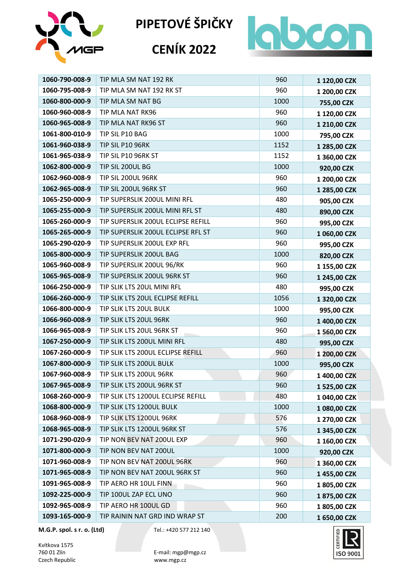



#### **CENÍK 2022**



| 1060-790-008-9 | TIP MLA SM NAT 192 RK              | 960  | 1 120,00 CZK |
|----------------|------------------------------------|------|--------------|
| 1060-795-008-9 | TIP MLA SM NAT 192 RK ST           | 960  | 1 200,00 CZK |
| 1060-800-000-9 | TIP MLA SM NAT BG                  | 1000 | 755,00 CZK   |
| 1060-960-008-9 | TIP MLA NAT RK96                   | 960  | 1 120,00 CZK |
| 1060-965-008-9 | TIP MLA NAT RK96 ST                | 960  | 1 210,00 CZK |
| 1061-800-010-9 | TIP SIL P10 BAG                    | 1000 | 795,00 CZK   |
| 1061-960-038-9 | TIP SIL P10 96RK                   | 1152 | 1 285,00 CZK |
| 1061-965-038-9 | TIP SIL P10 96RK ST                | 1152 | 1 360,00 CZK |
| 1062-800-000-9 | TIP SIL 200UL BG                   | 1000 | 920,00 CZK   |
| 1062-960-008-9 | TIP SIL 200UL 96RK                 | 960  | 1 200,00 CZK |
| 1062-965-008-9 | TIP SIL 200UL 96RK ST              | 960  | 1 285,00 CZK |
| 1065-250-000-9 | TIP SUPERSLIK 200UL MINI RFL       | 480  | 905,00 CZK   |
| 1065-255-000-9 | TIP SUPERSLIK 200UL MINI RFL ST    | 480  | 890,00 CZK   |
| 1065-260-000-9 | TIP SUPERSLIK 200UL ECLIPSE REFILL | 960  | 995,00 CZK   |
| 1065-265-000-9 | TIP SUPERSLIK 200UL ECLIPSE RFL ST | 960  | 1 060,00 CZK |
| 1065-290-020-9 | TIP SUPERSLIK 200UL EXP RFL        | 960  | 995,00 CZK   |
| 1065-800-000-9 | TIP SUPERSLIK 200UL BAG            | 1000 | 820,00 CZK   |
| 1065-960-008-9 | TIP SUPERSLIK 200UL 96/RK          | 960  | 1 155,00 CZK |
| 1065-965-008-9 | TIP SUPERSLIK 200UL 96RK ST        | 960  | 1 245,00 CZK |
| 1066-250-000-9 | TIP SLIK LTS 20UL MINI RFL         | 480  | 995,00 CZK   |
| 1066-260-000-9 | TIP SLIK LTS 20UL ECLIPSE REFILL   | 1056 | 1 320,00 CZK |
| 1066-800-000-9 | TIP SLIK LTS 20UL BULK             | 1000 | 995,00 CZK   |
| 1066-960-008-9 | TIP SLIK LTS 20UL 96RK             | 960  | 1 400,00 CZK |
| 1066-965-008-9 | TIP SLIK LTS 20UL 96RK ST          | 960  | 1 560,00 CZK |
| 1067-250-000-9 | TIP SLIK LTS 200UL MINI RFL        | 480  | 995,00 CZK   |
| 1067-260-000-9 | TIP SLIK LTS 200UL ECLIPSE REFILL  | 960  | 1 200,00 CZK |
| 1067-800-000-9 | TIP SLIK LTS 200UL BULK            | 1000 | 995,00 CZK   |
| 1067-960-008-9 | TIP SLIK LTS 200UL 96RK            | 960  | 1 400,00 CZK |
| 1067-965-008-9 | TIP SLIK LTS 200UL 96RK ST         | 960  | 1 525,00 CZK |
| 1068-260-000-9 | TIP SLIK LTS 1200UL ECLIPSE REFILL | 480  | 1 040,00 CZK |
| 1068-800-000-9 | TIP SLIK LTS 1200UL BULK           | 1000 | 1 080,00 CZK |
| 1068-960-008-9 | TIP SLIK LTS 1200UL 96RK           | 576  | 1 270,00 CZK |
| 1068-965-008-9 | TIP SLIK LTS 1200UL 96RK ST        | 576  | 1 345,00 CZK |
| 1071-290-020-9 | TIP NON BEV NAT 200UL EXP          | 960  | 1 160,00 CZK |
| 1071-800-000-9 | TIP NON BEV NAT 200UL              | 1000 | 920,00 CZK   |
| 1071-960-008-9 | TIP NON BEV NAT 200UL 96RK         | 960  | 1 360,00 CZK |
| 1071-965-008-9 | TIP NON BEV NAT 200UL 96RK ST      | 960  | 1 455,00 CZK |
| 1091-965-008-9 | TIP AERO HR 10UL FINN              | 960  | 1805,00 CZK  |
| 1092-225-000-9 | TIP 100UL ZAP ECL UNO              | 960  | 1875,00 CZK  |
| 1092-965-008-9 | TIP AERO HR 100UL GD               | 960  | 1805,00 CZK  |
| 1093-165-000-9 | TIP RAININ NAT GRD IND WRAP ST     | 200  | 1 650,00 CZK |

**M.G.P. spol. s r. o. (Ltd)** Tel.: +420 577 212 140

Kvítkova 1575<br>760 01 Zlín Czech Republic

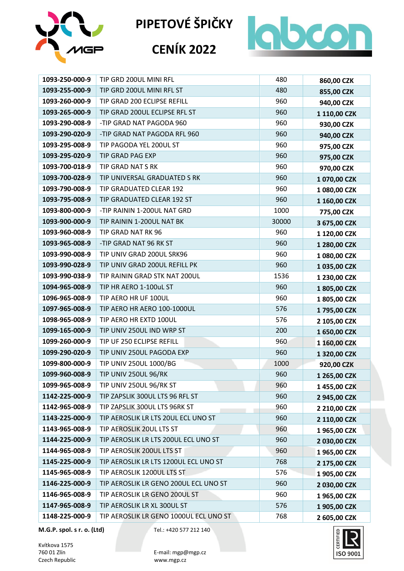





# **CENÍK 2022**

| 1093-250-000-9 | TIP GRD 200UL MINI RFL                 | 480   | 860,00 CZK   |
|----------------|----------------------------------------|-------|--------------|
| 1093-255-000-9 | TIP GRD 200UL MINI RFL ST              | 480   | 855,00 CZK   |
| 1093-260-000-9 | TIP GRAD 200 ECLIPSE REFILL            | 960   | 940,00 CZK   |
| 1093-265-000-9 | TIP GRAD 200UL ECLIPSE RFL ST          | 960   | 1 110,00 CZK |
| 1093-290-008-9 | -TIP GRAD NAT PAGODA 960               | 960   | 930,00 CZK   |
| 1093-290-020-9 | -TIP GRAD NAT PAGODA RFL 960           | 960   | 940,00 CZK   |
| 1093-295-008-9 | TIP PAGODA YEL 200UL ST                | 960   | 975,00 CZK   |
| 1093-295-020-9 | TIP GRAD PAG EXP                       | 960   | 975,00 CZK   |
| 1093-700-018-9 | TIP GRAD NAT S RK                      | 960   | 970,00 CZK   |
| 1093-700-028-9 | TIP UNIVERSAL GRADUATED S RK           | 960   | 1 070,00 CZK |
| 1093-790-008-9 | TIP GRADUATED CLEAR 192                | 960   | 1 080,00 CZK |
| 1093-795-008-9 | TIP GRADUATED CLEAR 192 ST             | 960   | 1 160,00 CZK |
| 1093-800-000-9 | -TIP RAININ 1-200UL NAT GRD            | 1000  | 775,00 CZK   |
| 1093-900-000-9 | TIP RAININ 1-200UL NAT BK              | 30000 | 3 675,00 CZK |
| 1093-960-008-9 | TIP GRAD NAT RK 96                     | 960   | 1 120,00 CZK |
| 1093-965-008-9 | -TIP GRAD NAT 96 RK ST                 | 960   | 1 280,00 CZK |
| 1093-990-008-9 | TIP UNIV GRAD 200UL SRK96              | 960   | 1 080,00 CZK |
| 1093-990-028-9 | TIP UNIV GRAD 200UL REFILL PK          | 960   | 1 035,00 CZK |
| 1093-990-038-9 | TIP RAININ GRAD STK NAT 200UL          | 1536  | 1 230,00 CZK |
| 1094-965-008-9 | TIP HR AERO 1-100uL ST                 | 960   | 1805,00 CZK  |
| 1096-965-008-9 | TIP AERO HR UF 100UL                   | 960   | 1805,00 CZK  |
| 1097-965-008-9 | TIP AERO HR AERO 100-1000UL            | 576   | 1795,00 CZK  |
| 1098-965-008-9 | TIP AERO HR EXTD 100UL                 | 576   | 2 105,00 CZK |
| 1099-165-000-9 | TIP UNIV 250UL IND WRP ST              | 200   | 1 650,00 CZK |
| 1099-260-000-9 | TIP UF 250 ECLIPSE REFILL              | 960   | 1 160,00 CZK |
| 1099-290-020-9 | TIP UNIV 250UL PAGODA EXP              | 960   | 1 320,00 CZK |
| 1099-800-000-9 | TIP UNIV 250UL 1000/BG                 | 1000  | 920,00 CZK   |
| 1099-960-008-9 | TIP UNIV 250UL 96/RK                   | 960   | 1 265,00 CZK |
| 1099-965-008-9 | TIP UNIV 250UL 96/RK ST                | 960   | 1455,00 CZK  |
| 1142-225-000-9 | TIP ZAPSLIK 300UL LTS 96 RFL ST        | 960   | 2 945,00 CZK |
| 1142-965-008-9 | TIP ZAPSLIK 300UL LTS 96RK ST          | 960   | 2 210,00 CZK |
| 1143-225-000-9 | TIP AEROSLIK LR LTS 20UL ECL UNO ST    | 960   | 2 110,00 CZK |
| 1143-965-008-9 | TIP AEROSLIK 20UL LTS ST               | 960   | 1965,00 CZK  |
| 1144-225-000-9 | TIP AEROSLIK LR LTS 200UL ECL UNO ST   | 960   | 2 030,00 CZK |
| 1144-965-008-9 | TIP AEROSLIK 200UL LTS ST              | 960   | 1965,00 CZK  |
| 1145-225-000-9 | TIP AEROSLIK LR LTS 1200UL ECL UNO ST  | 768   | 2 175,00 CZK |
| 1145-965-008-9 | TIP AEROSLIK 1200UL LTS ST             | 576   | 1 905,00 CZK |
| 1146-225-000-9 | TIP AEROSLIK LR GENO 200UL ECL UNO ST  | 960   | 2 030,00 CZK |
| 1146-965-008-9 | TIP AEROSLIK LR GENO 200UL ST          | 960   | 1965,00 CZK  |
| 1147-965-008-9 | TIP AEROSLIK LR XL 300UL ST            | 576   | 1 905,00 CZK |
| 1148-225-000-9 | TIP AEROSLIK LR GENO 1000UL ECL UNO ST | 768   | 2 605,00 CZK |

**M.G.P. spol. s r. o. (Ltd)** Tel.: +420 577 212 140

Kvítkova 1575<br>760 01 Zlín Czech Republic

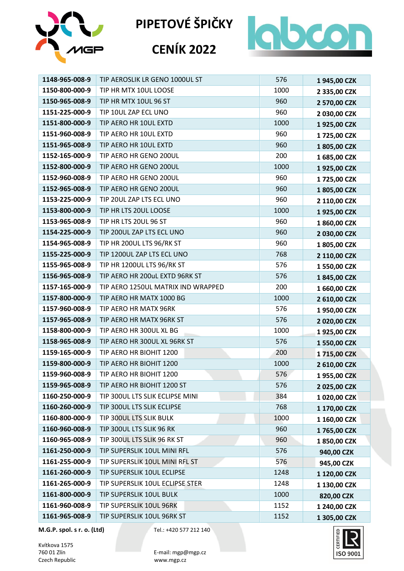

## **CENÍK 2022**



| 1148-965-008-9 | TIP AEROSLIK LR GENO 1000UL ST     | 576  | 1945,00 CZK  |
|----------------|------------------------------------|------|--------------|
| 1150-800-000-9 | TIP HR MTX 10UL LOOSE              | 1000 | 2 335,00 CZK |
| 1150-965-008-9 | TIP HR MTX 10UL 96 ST              | 960  | 2 570,00 CZK |
| 1151-225-000-9 | TIP 10UL ZAP ECL UNO               | 960  | 2 030,00 CZK |
| 1151-800-000-9 | TIP AERO HR 10UL EXTD              | 1000 | 1925,00 CZK  |
| 1151-960-008-9 | TIP AERO HR 10UL EXTD              | 960  | 1725,00 CZK  |
| 1151-965-008-9 | TIP AERO HR 10UL EXTD              | 960  | 1805,00 CZK  |
| 1152-165-000-9 | TIP AERO HR GENO 200UL             | 200  | 1 685,00 CZK |
| 1152-800-000-9 | TIP AERO HR GENO 200UL             | 1000 | 1925,00 CZK  |
| 1152-960-008-9 | TIP AERO HR GENO 200UL             | 960  | 1725,00 CZK  |
| 1152-965-008-9 | TIP AERO HR GENO 200UL             | 960  | 1805,00 CZK  |
| 1153-225-000-9 | TIP 20UL ZAP LTS ECL UNO           | 960  | 2 110,00 CZK |
| 1153-800-000-9 | TIP HR LTS 20UL LOOSE              | 1000 | 1925,00 CZK  |
| 1153-965-008-9 | TIP HR LTS 20UL 96 ST              | 960  | 1860,00 CZK  |
| 1154-225-000-9 | TIP 200UL ZAP LTS ECL UNO          | 960  | 2 030,00 CZK |
| 1154-965-008-9 | TIP HR 200UL LTS 96/RK ST          | 960  | 1805,00 CZK  |
| 1155-225-000-9 | TIP 1200UL ZAP LTS ECL UNO         | 768  | 2 110,00 CZK |
| 1155-965-008-9 | TIP HR 1200UL LTS 96/RK ST         | 576  | 1 550,00 CZK |
| 1156-965-008-9 | TIP AERO HR 200uL EXTD 96RK ST     | 576  | 1845,00 CZK  |
| 1157-165-000-9 | TIP AERO 1250UL MATRIX IND WRAPPED | 200  | 1 660,00 CZK |
| 1157-800-000-9 | TIP AERO HR MATX 1000 BG           | 1000 | 2 610,00 CZK |
| 1157-960-008-9 | TIP AERO HR MATX 96RK              | 576  | 1950,00 CZK  |
| 1157-965-008-9 | TIP AERO HR MATX 96RK ST           | 576  | 2 020,00 CZK |
| 1158-800-000-9 | TIP AERO HR 300UL XL BG            | 1000 | 1925,00 CZK  |
| 1158-965-008-9 | TIP AERO HR 300UL XL 96RK ST       | 576  | 1 550,00 CZK |
| 1159-165-000-9 | TIP AERO HR BIOHIT 1200            | 200  | 1715,00 CZK  |
| 1159-800-000-9 | TIP AERO HR BIOHIT 1200            | 1000 | 2 610,00 CZK |
| 1159-960-008-9 | TIP AERO HR BIOHIT 1200            | 576  | 1955,00 CZK  |
| 1159-965-008-9 | TIP AERO HR BIOHIT 1200 ST         | 576  | 2025,00 CZK  |
| 1160-250-000-9 | TIP 300UL LTS SLIK ECLIPSE MINI    | 384  | 1 020,00 CZK |
| 1160-260-000-9 | TIP 300UL LTS SLIK ECLIPSE         | 768  | 1 170,00 CZK |
| 1160-800-000-9 | TIP 300UL LTS SLIK BULK            | 1000 | 1 160,00 CZK |
| 1160-960-008-9 | TIP 300UL LTS SLIK 96 RK           | 960  | 1765,00 CZK  |
| 1160-965-008-9 | TIP 300UL LTS SLIK 96 RK ST        | 960  | 1850,00 CZK  |
| 1161-250-000-9 | TIP SUPERSLIK 10UL MINI RFL        | 576  | 940,00 CZK   |
| 1161-255-000-9 | TIP SUPERSLIK 10UL MINI RFL ST     | 576  | 945,00 CZK   |
| 1161-260-000-9 | TIP SUPERSLIK 10UL ECLIPSE         | 1248 | 1 120,00 CZK |
| 1161-265-000-9 | TIP SUPERSLIK 10UL ECLIPSE STER    | 1248 | 1 130,00 CZK |
| 1161-800-000-9 | TIP SUPERSLIK 10UL BULK            | 1000 | 820,00 CZK   |
| 1161-960-008-9 | TIP SUPERSLIK 10UL 96RK            | 1152 | 1 240,00 CZK |
| 1161-965-008-9 | TIP SUPERSLIK 10UL 96RK ST         | 1152 | 1 305,00 CZK |

**M.G.P. spol. s r. o. (Ltd)** Tel.: +420 577 212 140

Kvítkova 1575<br>760 01 Zlín Czech Republic

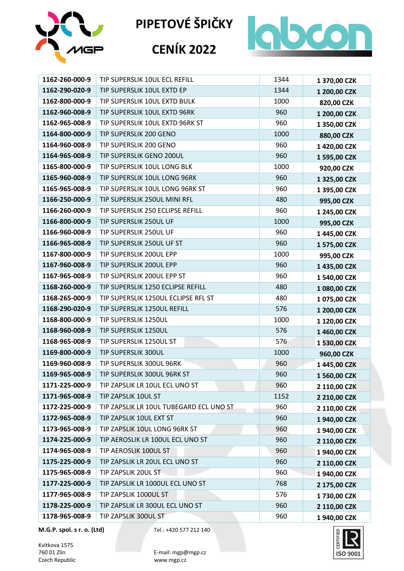

# **CENÍK 2022**



| 1162-260-000-9 | TIP SUPERSLIK 10UL ECL REFILL           | 1344 | 1 370,00 CZK |
|----------------|-----------------------------------------|------|--------------|
| 1162-290-020-9 | TIP SUPERSLIK 10UL EXTD EP              | 1344 | 1 200,00 CZK |
| 1162-800-000-9 | TIP SUPERSLIK 10UL EXTD BULK            | 1000 | 820,00 CZK   |
| 1162-960-008-9 | TIP SUPERSLIK 10UL EXTD 96RK            | 960  | 1 200,00 CZK |
| 1162-965-008-9 | TIP SUPERSLIK 10UL EXTD 96RK ST         | 960  | 1 350,00 CZK |
| 1164-800-000-9 | TIP SUPERSLIK 200 GENO                  | 1000 | 880,00 CZK   |
| 1164-960-008-9 | TIP SUPERSLIK 200 GENO                  | 960  | 1 420,00 CZK |
| 1164-965-008-9 | TIP SUPERSLIK GENO 200UL                | 960  | 1 595,00 CZK |
| 1165-800-000-9 | TIP SUPERSLIK 10UL LONG BLK             | 1000 | 920,00 CZK   |
| 1165-960-008-9 | TIP SUPERSLIK 10UL LONG 96RK            | 960  | 1 325,00 CZK |
| 1165-965-008-9 | TIP SUPERSLIK 10UL LONG 96RK ST         | 960  | 1 395,00 CZK |
| 1166-250-000-9 | TIP SUPERSLIK 250UL MINI RFL            | 480  | 995,00 CZK   |
| 1166-260-000-9 | TIP SUPERSLIK 250 ECLIPSE REFILL        | 960  | 1 245,00 CZK |
| 1166-800-000-9 | TIP SUPERSLIK 250UL UF                  | 1000 | 995,00 CZK   |
| 1166-960-008-9 | TIP SUPERSLIK 250UL UF                  | 960  | 1 445,00 CZK |
| 1166-965-008-9 | TIP SUPERSLIK 250UL UF ST               | 960  | 1 575,00 CZK |
| 1167-800-000-9 | TIP SUPERSLIK 200UL EPP                 | 1000 | 995,00 CZK   |
| 1167-960-008-9 | TIP SUPERSLIK 200UL EPP                 | 960  | 1 435,00 CZK |
| 1167-965-008-9 | TIP SUPERSLIK 200UL EPP ST              | 960  | 1 540,00 CZK |
| 1168-260-000-9 | TIP SUPERSLIK 1250 ECLIPSE REFILL       | 480  | 1 080,00 CZK |
| 1168-265-000-9 | TIP SUPERSLIK 1250UL ECLIPSE RFL ST     | 480  | 1 075,00 CZK |
| 1168-290-020-9 | TIP SUPERSLIK 1250UL REFILL             | 576  | 1 200,00 CZK |
| 1168-800-000-9 | TIP SUPERSLIK 1250UL                    | 1000 | 1 120,00 CZK |
| 1168-960-008-9 | TIP SUPERSLIK 1250UL                    | 576  | 1 460,00 CZK |
| 1168-965-008-9 | TIP SUPERSLIK 1250UL ST                 | 576  | 1 530,00 CZK |
| 1169-800-000-9 | TIP SUPERSLIK 300UL                     | 1000 | 960,00 CZK   |
| 1169-960-008-9 | TIP SUPERSLIK 300UL 96RK                | 960  | 1445,00 CZK  |
| 1169-965-008-9 | TIP SUPERSLIK 300UL 96RK ST             | 960  | 1 560,00 CZK |
| 1171-225-000-9 | TIP ZAPSLIK LR 10UL ECL UNO ST          | 960  | 2 110,00 CZK |
| 1171-965-008-9 | TIP ZAPSLIK 10UL ST                     | 1152 | 2 210,00 CZK |
| 1172-225-000-9 | TIP ZAPSLIK LR 10UL TUBEGARD ECL UNO ST | 960  | 2 110,00 CZK |
| 1172-965-008-9 | TIP ZAPSLIK 10UL EXT ST                 | 960  | 1 940,00 CZK |
| 1173-965-008-9 | TIP ZAPSLIK 10UL LONG 96RK ST           | 960  | 1 940,00 CZK |
| 1174-225-000-9 | TIP AEROSLIK LR 100UL ECL UNO ST        | 960  | 2 110,00 CZK |
| 1174-965-008-9 | TIP AEROSLIK 100UL ST                   | 960  | 1 940,00 CZK |
| 1175-225-000-9 | TIP ZAPSLIK LR 20UL ECL UNO ST          | 960  | 2 110,00 CZK |
| 1175-965-008-9 | TIP ZAPSLIK 20UL ST                     | 960  | 1 940,00 CZK |
| 1177-225-000-9 | TIP ZAPSLIK LR 1000UL ECL UNO ST        | 768  | 2 175,00 CZK |
| 1177-965-008-9 | TIP ZAPSLIK 1000UL ST                   | 576  | 1730,00 CZK  |
| 1178-225-000-9 | TIP ZAPSLIK LR 300UL ECL UNO ST         | 960  | 2 110,00 CZK |
| 1178-965-008-9 | TIP ZAPSLIK 300UL ST                    | 960  | 1 940,00 CZK |

**M.G.P. spol. s r. o. (Ltd)** Tel.: +420 577 212 140

Kvítkova 1575<br>760 01 Zlín Czech Republic